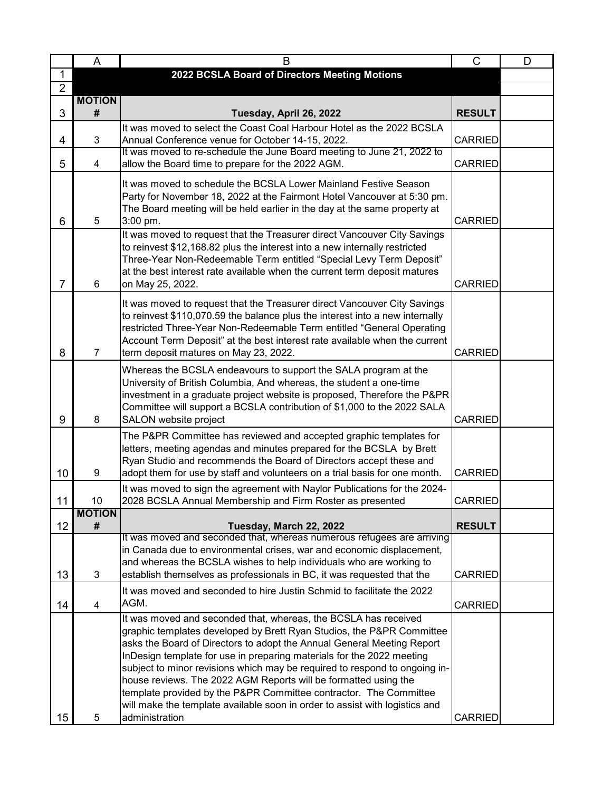|                | A                           | B                                                                                                                                                                                                                                                                                                                                                                                                                                            | C              | D |
|----------------|-----------------------------|----------------------------------------------------------------------------------------------------------------------------------------------------------------------------------------------------------------------------------------------------------------------------------------------------------------------------------------------------------------------------------------------------------------------------------------------|----------------|---|
| $\mathbf{1}$   |                             | 2022 BCSLA Board of Directors Meeting Motions                                                                                                                                                                                                                                                                                                                                                                                                |                |   |
| $\overline{2}$ |                             |                                                                                                                                                                                                                                                                                                                                                                                                                                              |                |   |
| 3              | <b>MOTION</b><br>#          | Tuesday, April 26, 2022                                                                                                                                                                                                                                                                                                                                                                                                                      | <b>RESULT</b>  |   |
|                |                             | It was moved to select the Coast Coal Harbour Hotel as the 2022 BCSLA                                                                                                                                                                                                                                                                                                                                                                        |                |   |
| 4              | 3                           | Annual Conference venue for October 14-15, 2022.<br>It was moved to re-schedule the June Board meeting to June 21, 2022 to                                                                                                                                                                                                                                                                                                                   | <b>CARRIED</b> |   |
| 5              | 4                           | allow the Board time to prepare for the 2022 AGM.                                                                                                                                                                                                                                                                                                                                                                                            | <b>CARRIED</b> |   |
| 6              | 5                           | It was moved to schedule the BCSLA Lower Mainland Festive Season<br>Party for November 18, 2022 at the Fairmont Hotel Vancouver at 5:30 pm.<br>The Board meeting will be held earlier in the day at the same property at<br>3:00 pm.                                                                                                                                                                                                         | <b>CARRIED</b> |   |
| $\overline{7}$ | 6                           | It was moved to request that the Treasurer direct Vancouver City Savings<br>to reinvest \$12,168.82 plus the interest into a new internally restricted<br>Three-Year Non-Redeemable Term entitled "Special Levy Term Deposit"<br>at the best interest rate available when the current term deposit matures<br>on May 25, 2022.                                                                                                               | <b>CARRIED</b> |   |
| 8              | $\overline{7}$              | It was moved to request that the Treasurer direct Vancouver City Savings<br>to reinvest \$110,070.59 the balance plus the interest into a new internally<br>restricted Three-Year Non-Redeemable Term entitled "General Operating<br>Account Term Deposit" at the best interest rate available when the current<br>term deposit matures on May 23, 2022.                                                                                     | <b>CARRIED</b> |   |
| 9              | 8                           | Whereas the BCSLA endeavours to support the SALA program at the<br>University of British Columbia, And whereas, the student a one-time<br>investment in a graduate project website is proposed, Therefore the P&PR<br>Committee will support a BCSLA contribution of \$1,000 to the 2022 SALA<br>SALON website project                                                                                                                       | <b>CARRIED</b> |   |
| 10             | 9                           | The P&PR Committee has reviewed and accepted graphic templates for<br>letters, meeting agendas and minutes prepared for the BCSLA by Brett<br>Ryan Studio and recommends the Board of Directors accept these and<br>adopt them for use by staff and volunteers on a trial basis for one month.                                                                                                                                               | <b>CARRIED</b> |   |
| 11             | 10                          | It was moved to sign the agreement with Naylor Publications for the 2024-<br>2028 BCSLA Annual Membership and Firm Roster as presented                                                                                                                                                                                                                                                                                                       | CARRIED        |   |
| 12             | <b>MOTION</b><br>$\pmb{\#}$ | Tuesday, March 22, 2022                                                                                                                                                                                                                                                                                                                                                                                                                      | <b>RESULT</b>  |   |
| 13             | 3                           | It was moved and seconded that, whereas numerous refugees are arriving<br>in Canada due to environmental crises, war and economic displacement,<br>and whereas the BCSLA wishes to help individuals who are working to<br>establish themselves as professionals in BC, it was requested that the                                                                                                                                             | <b>CARRIED</b> |   |
|                |                             | It was moved and seconded to hire Justin Schmid to facilitate the 2022                                                                                                                                                                                                                                                                                                                                                                       |                |   |
| 14             | $\overline{4}$              | AGM.                                                                                                                                                                                                                                                                                                                                                                                                                                         | <b>CARRIED</b> |   |
|                |                             | It was moved and seconded that, whereas, the BCSLA has received<br>graphic templates developed by Brett Ryan Studios, the P&PR Committee<br>asks the Board of Directors to adopt the Annual General Meeting Report<br>InDesign template for use in preparing materials for the 2022 meeting<br>subject to minor revisions which may be required to respond to ongoing in-<br>house reviews. The 2022 AGM Reports will be formatted using the |                |   |
|                |                             | template provided by the P&PR Committee contractor. The Committee<br>will make the template available soon in order to assist with logistics and                                                                                                                                                                                                                                                                                             |                |   |
| 15             | 5                           | administration                                                                                                                                                                                                                                                                                                                                                                                                                               | <b>CARRIED</b> |   |